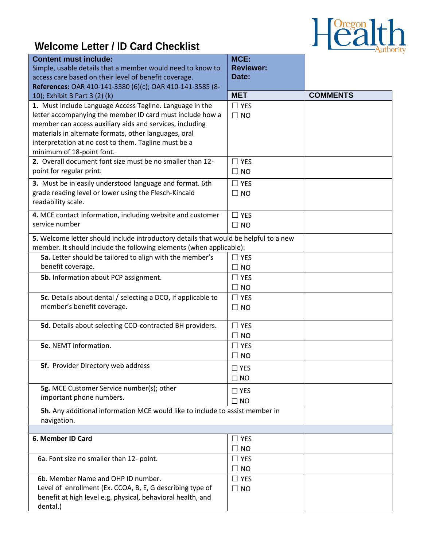

## **Welcome Letter / ID Card Checklist**

| <b>Reviewer:</b><br>Simple, usable details that a member would need to know to<br>Date:<br>access care based on their level of benefit coverage.<br>References: OAR 410-141-3580 (6)(c); OAR 410-141-3585 (8-<br><b>COMMENTS</b><br><b>MET</b><br>10); Exhibit B Part 3 (2) (k)<br>1. Must include Language Access Tagline. Language in the<br>$\Box$ YES<br>letter accompanying the member ID card must include how a<br>$\Box$ NO<br>member can access auxiliary aids and services, including<br>materials in alternate formats, other languages, oral<br>interpretation at no cost to them. Tagline must be a<br>minimum of 18-point font.<br>2. Overall document font size must be no smaller than 12-<br>$\Box$ YES<br>point for regular print.<br>$\Box$ NO<br>3. Must be in easily understood language and format. 6th<br>$\Box$ YES<br>grade reading level or lower using the Flesch-Kincaid<br>$\Box$ NO<br>readability scale.<br>4. MCE contact information, including website and customer<br>$\Box$ YES<br>service number<br>$\Box$ NO<br>5. Welcome letter should include introductory details that would be helpful to a new<br>member. It should include the following elements (when applicable):<br>5a. Letter should be tailored to align with the member's<br>$\Box$ YES<br>benefit coverage.<br>$\Box$ NO<br>5b. Information about PCP assignment.<br>$\Box$ YES<br>$\Box$ NO<br>5c. Details about dental / selecting a DCO, if applicable to<br>$\Box$ YES<br>member's benefit coverage.<br>$\Box$ NO<br>5d. Details about selecting CCO-contracted BH providers.<br>$\Box$ YES<br>$\Box$ NO<br><b>5e.</b> NEMT information.<br>$\Box$ YES<br>$\Box$ NO<br>5f. Provider Directory web address<br>$\Box$ YES<br>$\Box$ NO<br>5g. MCE Customer Service number(s); other<br>$\Box$ YES<br>important phone numbers.<br>$\Box$ NO<br>5h. Any additional information MCE would like to include to assist member in<br>navigation. | <b>Content must include:</b> | MCE: |  |
|--------------------------------------------------------------------------------------------------------------------------------------------------------------------------------------------------------------------------------------------------------------------------------------------------------------------------------------------------------------------------------------------------------------------------------------------------------------------------------------------------------------------------------------------------------------------------------------------------------------------------------------------------------------------------------------------------------------------------------------------------------------------------------------------------------------------------------------------------------------------------------------------------------------------------------------------------------------------------------------------------------------------------------------------------------------------------------------------------------------------------------------------------------------------------------------------------------------------------------------------------------------------------------------------------------------------------------------------------------------------------------------------------------------------------------------------------------------------------------------------------------------------------------------------------------------------------------------------------------------------------------------------------------------------------------------------------------------------------------------------------------------------------------------------------------------------------------------------------------------------------------------------------------------------------------------------------|------------------------------|------|--|
|                                                                                                                                                                                                                                                                                                                                                                                                                                                                                                                                                                                                                                                                                                                                                                                                                                                                                                                                                                                                                                                                                                                                                                                                                                                                                                                                                                                                                                                                                                                                                                                                                                                                                                                                                                                                                                                                                                                                                  |                              |      |  |
|                                                                                                                                                                                                                                                                                                                                                                                                                                                                                                                                                                                                                                                                                                                                                                                                                                                                                                                                                                                                                                                                                                                                                                                                                                                                                                                                                                                                                                                                                                                                                                                                                                                                                                                                                                                                                                                                                                                                                  |                              |      |  |
|                                                                                                                                                                                                                                                                                                                                                                                                                                                                                                                                                                                                                                                                                                                                                                                                                                                                                                                                                                                                                                                                                                                                                                                                                                                                                                                                                                                                                                                                                                                                                                                                                                                                                                                                                                                                                                                                                                                                                  |                              |      |  |
|                                                                                                                                                                                                                                                                                                                                                                                                                                                                                                                                                                                                                                                                                                                                                                                                                                                                                                                                                                                                                                                                                                                                                                                                                                                                                                                                                                                                                                                                                                                                                                                                                                                                                                                                                                                                                                                                                                                                                  |                              |      |  |
|                                                                                                                                                                                                                                                                                                                                                                                                                                                                                                                                                                                                                                                                                                                                                                                                                                                                                                                                                                                                                                                                                                                                                                                                                                                                                                                                                                                                                                                                                                                                                                                                                                                                                                                                                                                                                                                                                                                                                  |                              |      |  |
|                                                                                                                                                                                                                                                                                                                                                                                                                                                                                                                                                                                                                                                                                                                                                                                                                                                                                                                                                                                                                                                                                                                                                                                                                                                                                                                                                                                                                                                                                                                                                                                                                                                                                                                                                                                                                                                                                                                                                  |                              |      |  |
|                                                                                                                                                                                                                                                                                                                                                                                                                                                                                                                                                                                                                                                                                                                                                                                                                                                                                                                                                                                                                                                                                                                                                                                                                                                                                                                                                                                                                                                                                                                                                                                                                                                                                                                                                                                                                                                                                                                                                  |                              |      |  |
|                                                                                                                                                                                                                                                                                                                                                                                                                                                                                                                                                                                                                                                                                                                                                                                                                                                                                                                                                                                                                                                                                                                                                                                                                                                                                                                                                                                                                                                                                                                                                                                                                                                                                                                                                                                                                                                                                                                                                  |                              |      |  |
|                                                                                                                                                                                                                                                                                                                                                                                                                                                                                                                                                                                                                                                                                                                                                                                                                                                                                                                                                                                                                                                                                                                                                                                                                                                                                                                                                                                                                                                                                                                                                                                                                                                                                                                                                                                                                                                                                                                                                  |                              |      |  |
|                                                                                                                                                                                                                                                                                                                                                                                                                                                                                                                                                                                                                                                                                                                                                                                                                                                                                                                                                                                                                                                                                                                                                                                                                                                                                                                                                                                                                                                                                                                                                                                                                                                                                                                                                                                                                                                                                                                                                  |                              |      |  |
|                                                                                                                                                                                                                                                                                                                                                                                                                                                                                                                                                                                                                                                                                                                                                                                                                                                                                                                                                                                                                                                                                                                                                                                                                                                                                                                                                                                                                                                                                                                                                                                                                                                                                                                                                                                                                                                                                                                                                  |                              |      |  |
|                                                                                                                                                                                                                                                                                                                                                                                                                                                                                                                                                                                                                                                                                                                                                                                                                                                                                                                                                                                                                                                                                                                                                                                                                                                                                                                                                                                                                                                                                                                                                                                                                                                                                                                                                                                                                                                                                                                                                  |                              |      |  |
|                                                                                                                                                                                                                                                                                                                                                                                                                                                                                                                                                                                                                                                                                                                                                                                                                                                                                                                                                                                                                                                                                                                                                                                                                                                                                                                                                                                                                                                                                                                                                                                                                                                                                                                                                                                                                                                                                                                                                  |                              |      |  |
|                                                                                                                                                                                                                                                                                                                                                                                                                                                                                                                                                                                                                                                                                                                                                                                                                                                                                                                                                                                                                                                                                                                                                                                                                                                                                                                                                                                                                                                                                                                                                                                                                                                                                                                                                                                                                                                                                                                                                  |                              |      |  |
|                                                                                                                                                                                                                                                                                                                                                                                                                                                                                                                                                                                                                                                                                                                                                                                                                                                                                                                                                                                                                                                                                                                                                                                                                                                                                                                                                                                                                                                                                                                                                                                                                                                                                                                                                                                                                                                                                                                                                  |                              |      |  |
|                                                                                                                                                                                                                                                                                                                                                                                                                                                                                                                                                                                                                                                                                                                                                                                                                                                                                                                                                                                                                                                                                                                                                                                                                                                                                                                                                                                                                                                                                                                                                                                                                                                                                                                                                                                                                                                                                                                                                  |                              |      |  |
|                                                                                                                                                                                                                                                                                                                                                                                                                                                                                                                                                                                                                                                                                                                                                                                                                                                                                                                                                                                                                                                                                                                                                                                                                                                                                                                                                                                                                                                                                                                                                                                                                                                                                                                                                                                                                                                                                                                                                  |                              |      |  |
|                                                                                                                                                                                                                                                                                                                                                                                                                                                                                                                                                                                                                                                                                                                                                                                                                                                                                                                                                                                                                                                                                                                                                                                                                                                                                                                                                                                                                                                                                                                                                                                                                                                                                                                                                                                                                                                                                                                                                  |                              |      |  |
|                                                                                                                                                                                                                                                                                                                                                                                                                                                                                                                                                                                                                                                                                                                                                                                                                                                                                                                                                                                                                                                                                                                                                                                                                                                                                                                                                                                                                                                                                                                                                                                                                                                                                                                                                                                                                                                                                                                                                  |                              |      |  |
|                                                                                                                                                                                                                                                                                                                                                                                                                                                                                                                                                                                                                                                                                                                                                                                                                                                                                                                                                                                                                                                                                                                                                                                                                                                                                                                                                                                                                                                                                                                                                                                                                                                                                                                                                                                                                                                                                                                                                  |                              |      |  |
|                                                                                                                                                                                                                                                                                                                                                                                                                                                                                                                                                                                                                                                                                                                                                                                                                                                                                                                                                                                                                                                                                                                                                                                                                                                                                                                                                                                                                                                                                                                                                                                                                                                                                                                                                                                                                                                                                                                                                  |                              |      |  |
|                                                                                                                                                                                                                                                                                                                                                                                                                                                                                                                                                                                                                                                                                                                                                                                                                                                                                                                                                                                                                                                                                                                                                                                                                                                                                                                                                                                                                                                                                                                                                                                                                                                                                                                                                                                                                                                                                                                                                  |                              |      |  |
|                                                                                                                                                                                                                                                                                                                                                                                                                                                                                                                                                                                                                                                                                                                                                                                                                                                                                                                                                                                                                                                                                                                                                                                                                                                                                                                                                                                                                                                                                                                                                                                                                                                                                                                                                                                                                                                                                                                                                  |                              |      |  |
|                                                                                                                                                                                                                                                                                                                                                                                                                                                                                                                                                                                                                                                                                                                                                                                                                                                                                                                                                                                                                                                                                                                                                                                                                                                                                                                                                                                                                                                                                                                                                                                                                                                                                                                                                                                                                                                                                                                                                  |                              |      |  |
|                                                                                                                                                                                                                                                                                                                                                                                                                                                                                                                                                                                                                                                                                                                                                                                                                                                                                                                                                                                                                                                                                                                                                                                                                                                                                                                                                                                                                                                                                                                                                                                                                                                                                                                                                                                                                                                                                                                                                  |                              |      |  |
|                                                                                                                                                                                                                                                                                                                                                                                                                                                                                                                                                                                                                                                                                                                                                                                                                                                                                                                                                                                                                                                                                                                                                                                                                                                                                                                                                                                                                                                                                                                                                                                                                                                                                                                                                                                                                                                                                                                                                  |                              |      |  |
|                                                                                                                                                                                                                                                                                                                                                                                                                                                                                                                                                                                                                                                                                                                                                                                                                                                                                                                                                                                                                                                                                                                                                                                                                                                                                                                                                                                                                                                                                                                                                                                                                                                                                                                                                                                                                                                                                                                                                  |                              |      |  |
|                                                                                                                                                                                                                                                                                                                                                                                                                                                                                                                                                                                                                                                                                                                                                                                                                                                                                                                                                                                                                                                                                                                                                                                                                                                                                                                                                                                                                                                                                                                                                                                                                                                                                                                                                                                                                                                                                                                                                  |                              |      |  |
|                                                                                                                                                                                                                                                                                                                                                                                                                                                                                                                                                                                                                                                                                                                                                                                                                                                                                                                                                                                                                                                                                                                                                                                                                                                                                                                                                                                                                                                                                                                                                                                                                                                                                                                                                                                                                                                                                                                                                  |                              |      |  |
|                                                                                                                                                                                                                                                                                                                                                                                                                                                                                                                                                                                                                                                                                                                                                                                                                                                                                                                                                                                                                                                                                                                                                                                                                                                                                                                                                                                                                                                                                                                                                                                                                                                                                                                                                                                                                                                                                                                                                  |                              |      |  |
|                                                                                                                                                                                                                                                                                                                                                                                                                                                                                                                                                                                                                                                                                                                                                                                                                                                                                                                                                                                                                                                                                                                                                                                                                                                                                                                                                                                                                                                                                                                                                                                                                                                                                                                                                                                                                                                                                                                                                  |                              |      |  |
|                                                                                                                                                                                                                                                                                                                                                                                                                                                                                                                                                                                                                                                                                                                                                                                                                                                                                                                                                                                                                                                                                                                                                                                                                                                                                                                                                                                                                                                                                                                                                                                                                                                                                                                                                                                                                                                                                                                                                  |                              |      |  |
|                                                                                                                                                                                                                                                                                                                                                                                                                                                                                                                                                                                                                                                                                                                                                                                                                                                                                                                                                                                                                                                                                                                                                                                                                                                                                                                                                                                                                                                                                                                                                                                                                                                                                                                                                                                                                                                                                                                                                  |                              |      |  |
|                                                                                                                                                                                                                                                                                                                                                                                                                                                                                                                                                                                                                                                                                                                                                                                                                                                                                                                                                                                                                                                                                                                                                                                                                                                                                                                                                                                                                                                                                                                                                                                                                                                                                                                                                                                                                                                                                                                                                  |                              |      |  |
|                                                                                                                                                                                                                                                                                                                                                                                                                                                                                                                                                                                                                                                                                                                                                                                                                                                                                                                                                                                                                                                                                                                                                                                                                                                                                                                                                                                                                                                                                                                                                                                                                                                                                                                                                                                                                                                                                                                                                  |                              |      |  |
|                                                                                                                                                                                                                                                                                                                                                                                                                                                                                                                                                                                                                                                                                                                                                                                                                                                                                                                                                                                                                                                                                                                                                                                                                                                                                                                                                                                                                                                                                                                                                                                                                                                                                                                                                                                                                                                                                                                                                  |                              |      |  |
|                                                                                                                                                                                                                                                                                                                                                                                                                                                                                                                                                                                                                                                                                                                                                                                                                                                                                                                                                                                                                                                                                                                                                                                                                                                                                                                                                                                                                                                                                                                                                                                                                                                                                                                                                                                                                                                                                                                                                  |                              |      |  |
|                                                                                                                                                                                                                                                                                                                                                                                                                                                                                                                                                                                                                                                                                                                                                                                                                                                                                                                                                                                                                                                                                                                                                                                                                                                                                                                                                                                                                                                                                                                                                                                                                                                                                                                                                                                                                                                                                                                                                  |                              |      |  |
| 6. Member ID Card<br>$\Box$ YES                                                                                                                                                                                                                                                                                                                                                                                                                                                                                                                                                                                                                                                                                                                                                                                                                                                                                                                                                                                                                                                                                                                                                                                                                                                                                                                                                                                                                                                                                                                                                                                                                                                                                                                                                                                                                                                                                                                  |                              |      |  |
| $\Box$ NO                                                                                                                                                                                                                                                                                                                                                                                                                                                                                                                                                                                                                                                                                                                                                                                                                                                                                                                                                                                                                                                                                                                                                                                                                                                                                                                                                                                                                                                                                                                                                                                                                                                                                                                                                                                                                                                                                                                                        |                              |      |  |
| 6a. Font size no smaller than 12- point.<br>$\Box$ YES                                                                                                                                                                                                                                                                                                                                                                                                                                                                                                                                                                                                                                                                                                                                                                                                                                                                                                                                                                                                                                                                                                                                                                                                                                                                                                                                                                                                                                                                                                                                                                                                                                                                                                                                                                                                                                                                                           |                              |      |  |
| $\square$ NO                                                                                                                                                                                                                                                                                                                                                                                                                                                                                                                                                                                                                                                                                                                                                                                                                                                                                                                                                                                                                                                                                                                                                                                                                                                                                                                                                                                                                                                                                                                                                                                                                                                                                                                                                                                                                                                                                                                                     |                              |      |  |
| 6b. Member Name and OHP ID number.<br>$\Box$ YES                                                                                                                                                                                                                                                                                                                                                                                                                                                                                                                                                                                                                                                                                                                                                                                                                                                                                                                                                                                                                                                                                                                                                                                                                                                                                                                                                                                                                                                                                                                                                                                                                                                                                                                                                                                                                                                                                                 |                              |      |  |
| Level of enrollment (Ex. CCOA, B, E, G describing type of<br>$\Box$ NO                                                                                                                                                                                                                                                                                                                                                                                                                                                                                                                                                                                                                                                                                                                                                                                                                                                                                                                                                                                                                                                                                                                                                                                                                                                                                                                                                                                                                                                                                                                                                                                                                                                                                                                                                                                                                                                                           |                              |      |  |
| benefit at high level e.g. physical, behavioral health, and                                                                                                                                                                                                                                                                                                                                                                                                                                                                                                                                                                                                                                                                                                                                                                                                                                                                                                                                                                                                                                                                                                                                                                                                                                                                                                                                                                                                                                                                                                                                                                                                                                                                                                                                                                                                                                                                                      |                              |      |  |
| dental.)                                                                                                                                                                                                                                                                                                                                                                                                                                                                                                                                                                                                                                                                                                                                                                                                                                                                                                                                                                                                                                                                                                                                                                                                                                                                                                                                                                                                                                                                                                                                                                                                                                                                                                                                                                                                                                                                                                                                         |                              |      |  |